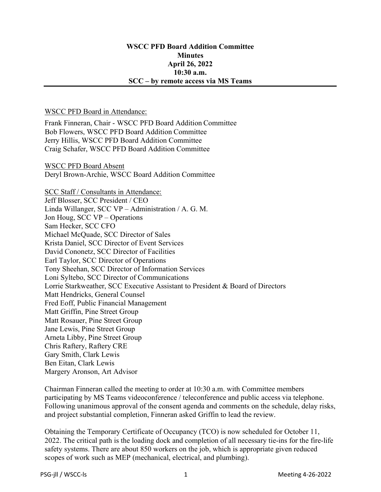## WSCC PFD Board Addition Committee **Minutes** April 26, 2022 10:30 a.m. SCC – by remote access via MS Teams

## WSCC PFD Board in Attendance:

Frank Finneran, Chair - WSCC PFD Board Addition Committee Bob Flowers, WSCC PFD Board Addition Committee Jerry Hillis, WSCC PFD Board Addition Committee Craig Schafer, WSCC PFD Board Addition Committee

WSCC PFD Board Absent Deryl Brown-Archie, WSCC Board Addition Committee

SCC Staff / Consultants in Attendance: Jeff Blosser, SCC President / CEO Linda Willanger, SCC VP – Administration / A. G. M. Jon Houg, SCC VP – Operations Sam Hecker, SCC CFO Michael McQuade, SCC Director of Sales Krista Daniel, SCC Director of Event Services David Cononetz, SCC Director of Facilities Earl Taylor, SCC Director of Operations Tony Sheehan, SCC Director of Information Services Loni Syltebo, SCC Director of Communications Lorrie Starkweather, SCC Executive Assistant to President & Board of Directors Matt Hendricks, General Counsel Fred Eoff, Public Financial Management Matt Griffin, Pine Street Group Matt Rosauer, Pine Street Group Jane Lewis, Pine Street Group Arneta Libby, Pine Street Group Chris Raftery, Raftery CRE Gary Smith, Clark Lewis Ben Eitan, Clark Lewis Margery Aronson, Art Advisor

Chairman Finneran called the meeting to order at 10:30 a.m. with Committee members participating by MS Teams videoconference / teleconference and public access via telephone. Following unanimous approval of the consent agenda and comments on the schedule, delay risks, and project substantial completion, Finneran asked Griffin to lead the review.

Obtaining the Temporary Certificate of Occupancy (TCO) is now scheduled for October 11, 2022. The critical path is the loading dock and completion of all necessary tie-ins for the fire-life safety systems. There are about 850 workers on the job, which is appropriate given reduced scopes of work such as MEP (mechanical, electrical, and plumbing).